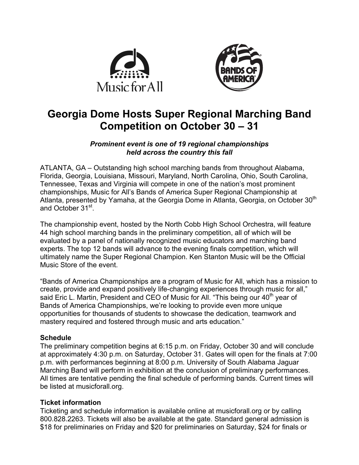



# **Georgia Dome Hosts Super Regional Marching Band Competition on October 30 – 31**

# *Prominent event is one of 19 regional championships held across the country this fall*

ATLANTA, GA – Outstanding high school marching bands from throughout Alabama, Florida, Georgia, Louisiana, Missouri, Maryland, North Carolina, Ohio, South Carolina, Tennessee, Texas and Virginia will compete in one of the nation's most prominent championships, Music for All's Bands of America Super Regional Championship at Atlanta, presented by Yamaha, at the Georgia Dome in Atlanta, Georgia, on October 30<sup>th</sup> and October 31<sup>st</sup>.

The championship event, hosted by the North Cobb High School Orchestra, will feature 44 high school marching bands in the preliminary competition, all of which will be evaluated by a panel of nationally recognized music educators and marching band experts. The top 12 bands will advance to the evening finals competition, which will ultimately name the Super Regional Champion. Ken Stanton Music will be the Official Music Store of the event.

"Bands of America Championships are a program of Music for All, which has a mission to create, provide and expand positively life-changing experiences through music for all," said Eric L. Martin, President and CEO of Music for All. "This being our  $40<sup>th</sup>$  year of Bands of America Championships, we're looking to provide even more unique opportunities for thousands of students to showcase the dedication, teamwork and mastery required and fostered through music and arts education."

# **Schedule**

The preliminary competition begins at 6:15 p.m. on Friday, October 30 and will conclude at approximately 4:30 p.m. on Saturday, October 31. Gates will open for the finals at 7:00 p.m. with performances beginning at 8:00 p.m. University of South Alabama Jaguar Marching Band will perform in exhibition at the conclusion of preliminary performances. All times are tentative pending the final schedule of performing bands. Current times will be listed at musicforall.org.

# **Ticket information**

Ticketing and schedule information is available online at musicforall.org or by calling 800.828.2263. Tickets will also be available at the gate. Standard general admission is \$18 for preliminaries on Friday and \$20 for preliminaries on Saturday, \$24 for finals or